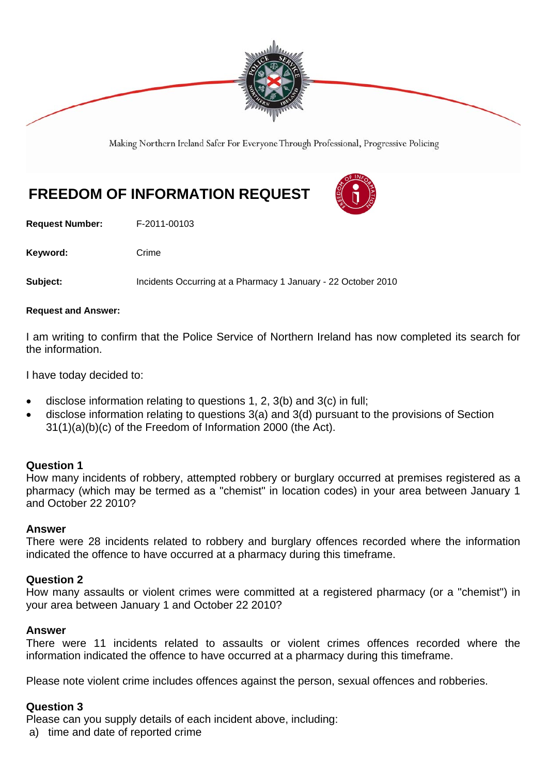

Making Northern Ireland Safer For Everyone Through Professional, Progressive Policing

# **FREEDOM OF INFORMATION REQUEST**

**Request Number:** F-2011-00103

Keyword: Crime

**Subject:** Incidents Occurring at a Pharmacy 1 January - 22 October 2010

#### **Request and Answer:**

I am writing to confirm that the Police Service of Northern Ireland has now completed its search for the information.

I have today decided to:

- disclose information relating to questions 1, 2, 3(b) and 3(c) in full;
- disclose information relating to questions 3(a) and 3(d) pursuant to the provisions of Section 31(1)(a)(b)(c) of the Freedom of Information 2000 (the Act).

# **Question 1**

How many incidents of robbery, attempted robbery or burglary occurred at premises registered as a pharmacy (which may be termed as a "chemist" in location codes) in your area between January 1 and October 22 2010?

#### **Answer**

There were 28 incidents related to robbery and burglary offences recorded where the information indicated the offence to have occurred at a pharmacy during this timeframe.

# **Question 2**

How many assaults or violent crimes were committed at a registered pharmacy (or a "chemist") in your area between January 1 and October 22 2010?

#### **Answer**

There were 11 incidents related to assaults or violent crimes offences recorded where the information indicated the offence to have occurred at a pharmacy during this timeframe.

Please note violent crime includes offences against the person, sexual offences and robberies.

# **Question 3**

Please can you supply details of each incident above, including:

a) time and date of reported crime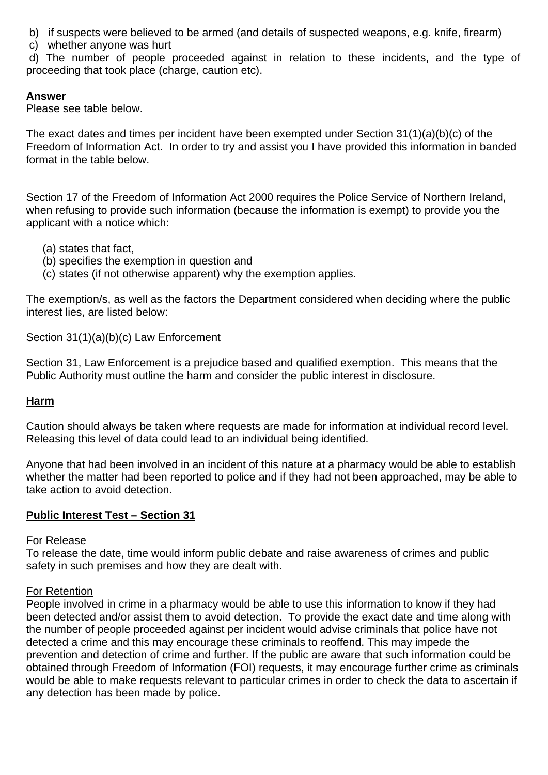- b) if suspects were believed to be armed (and details of suspected weapons, e.g. knife, firearm)
- c) whether anyone was hurt

 d) The number of people proceeded against in relation to these incidents, and the type of proceeding that took place (charge, caution etc).

# **Answer**

Please see table below.

The exact dates and times per incident have been exempted under Section 31(1)(a)(b)(c) of the Freedom of Information Act. In order to try and assist you I have provided this information in banded format in the table below.

Section 17 of the Freedom of Information Act 2000 requires the Police Service of Northern Ireland, when refusing to provide such information (because the information is exempt) to provide you the applicant with a notice which:

- (a) states that fact,
- (b) specifies the exemption in question and
- (c) states (if not otherwise apparent) why the exemption applies.

The exemption/s, as well as the factors the Department considered when deciding where the public interest lies, are listed below:

Section 31(1)(a)(b)(c) Law Enforcement

Section 31, Law Enforcement is a prejudice based and qualified exemption. This means that the Public Authority must outline the harm and consider the public interest in disclosure.

# **Harm**

Caution should always be taken where requests are made for information at individual record level. Releasing this level of data could lead to an individual being identified.

Anyone that had been involved in an incident of this nature at a pharmacy would be able to establish whether the matter had been reported to police and if they had not been approached, may be able to take action to avoid detection.

# **Public Interest Test – Section 31**

#### For Release

To release the date, time would inform public debate and raise awareness of crimes and public safety in such premises and how they are dealt with.

#### For Retention

People involved in crime in a pharmacy would be able to use this information to know if they had been detected and/or assist them to avoid detection. To provide the exact date and time along with the number of people proceeded against per incident would advise criminals that police have not detected a crime and this may encourage these criminals to reoffend. This may impede the prevention and detection of crime and further. If the public are aware that such information could be obtained through Freedom of Information (FOI) requests, it may encourage further crime as criminals would be able to make requests relevant to particular crimes in order to check the data to ascertain if any detection has been made by police.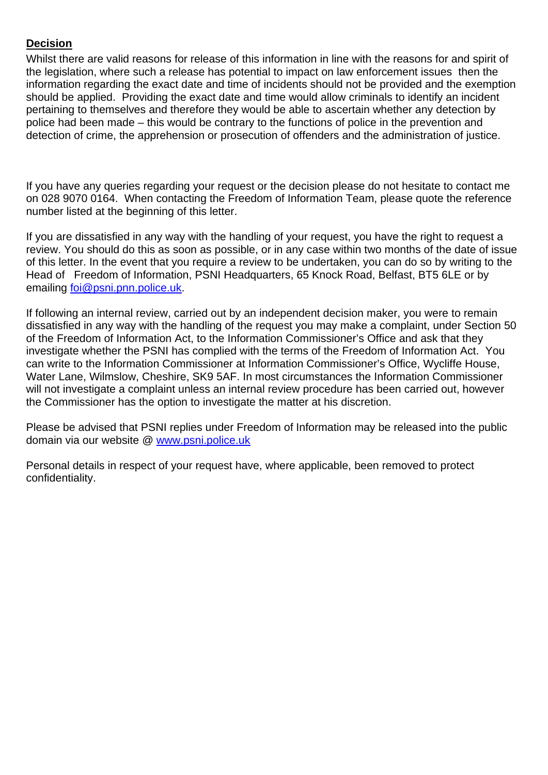# **Decision**

Whilst there are valid reasons for release of this information in line with the reasons for and spirit of the legislation, where such a release has potential to impact on law enforcement issues then the information regarding the exact date and time of incidents should not be provided and the exemption should be applied. Providing the exact date and time would allow criminals to identify an incident pertaining to themselves and therefore they would be able to ascertain whether any detection by police had been made – this would be contrary to the functions of police in the prevention and detection of crime, the apprehension or prosecution of offenders and the administration of justice.

If you have any queries regarding your request or the decision please do not hesitate to contact me on 028 9070 0164. When contacting the Freedom of Information Team, please quote the reference number listed at the beginning of this letter.

If you are dissatisfied in any way with the handling of your request, you have the right to request a review. You should do this as soon as possible, or in any case within two months of the date of issue of this letter. In the event that you require a review to be undertaken, you can do so by writing to the Head of Freedom of Information, PSNI Headquarters, 65 Knock Road, Belfast, BT5 6LE or by emailing foi@psni.pnn.police.uk.

If following an internal review, carried out by an independent decision maker, you were to remain dissatisfied in any way with the handling of the request you may make a complaint, under Section 50 of the Freedom of Information Act, to the Information Commissioner's Office and ask that they investigate whether the PSNI has complied with the terms of the Freedom of Information Act. You can write to the Information Commissioner at Information Commissioner's Office, Wycliffe House, Water Lane, Wilmslow, Cheshire, SK9 5AF. In most circumstances the Information Commissioner will not investigate a complaint unless an internal review procedure has been carried out, however the Commissioner has the option to investigate the matter at his discretion.

Please be advised that PSNI replies under Freedom of Information may be released into the public domain via our website @ www.psni.police.uk

Personal details in respect of your request have, where applicable, been removed to protect confidentiality.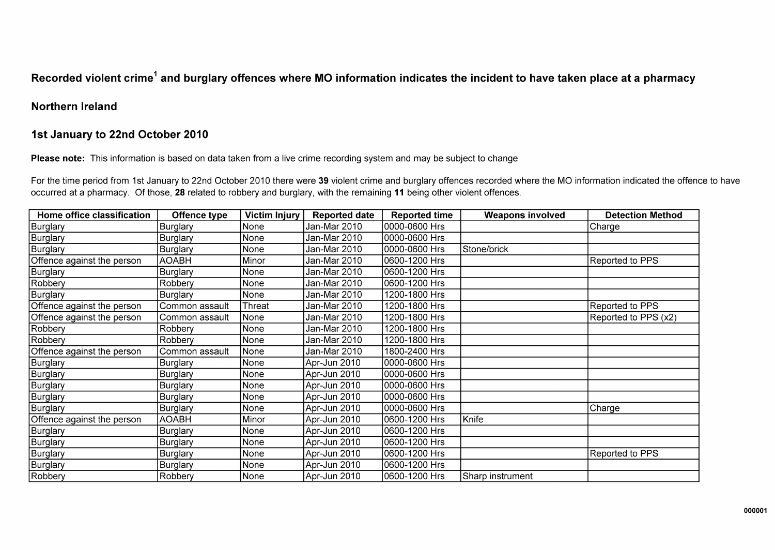# Recorded violent crime<sup>1</sup> and burglary offences where MO information indicates the incident to have taken place at a pharmacy

## **Northern Ireland**

# 1st January to 22nd October 2010

Please note: This information is based on data taken from a live crime recording system and may be subject to change

For the time period from 1st January to 22nd October 2010 there were 39 violent crime and burglary offences recorded where the MO information indicated the offence to have occurred at a pharmacy. Of those, 28 related to robbery and burglary, with the remaining 11 being other violent offences.

| Home office classification | <b>Offence type</b> | <b>Victim Injury</b> | <b>Reported date</b> | <b>Reported time</b> | <b>Weapons involved</b> | <b>Detection Method</b> |
|----------------------------|---------------------|----------------------|----------------------|----------------------|-------------------------|-------------------------|
| Burglary                   | Burglary            | None                 | Jan-Mar 2010         | 0000-0600 Hrs        |                         | <b>Charge</b>           |
| Burglary                   | Burglary            | None                 | Jan-Mar 2010         | 0000-0600 Hrs        |                         |                         |
| Burglary                   | Burglary            | None                 | Jan-Mar 2010         | 0000-0600 Hrs        | Stone/brick             |                         |
| Offence against the person | <b>AOABH</b>        | Minor                | Jan-Mar 2010         | 0600-1200 Hrs        |                         | Reported to PPS         |
| Burglary                   | Burglary            | None                 | Jan-Mar 2010         | 0600-1200 Hrs        |                         |                         |
| Robbery                    | Robbery             | None                 | Jan-Mar 2010         | 0600-1200 Hrs        |                         |                         |
| Burglary                   | Burglary            | None                 | Jan-Mar 2010         | 1200-1800 Hrs        |                         |                         |
| Offence against the person | Common assault      | Threat               | Jan-Mar 2010         | 1200-1800 Hrs        |                         | Reported to PPS         |
| Offence against the person | Common assault      | None                 | Jan-Mar 2010         | 1200-1800 Hrs        |                         | Reported to PPS (x2)    |
| Robbery                    | Robbery             | None                 | Jan-Mar 2010         | 1200-1800 Hrs        |                         |                         |
| Robbery                    | Robbery             | None                 | Jan-Mar 2010         | 1200-1800 Hrs        |                         |                         |
| Offence against the person | Common assault      | None                 | Jan-Mar 2010         | 1800-2400 Hrs        |                         |                         |
| Burglary                   | Burglary            | None                 | Apr-Jun 2010         | 0000-0600 Hrs        |                         |                         |
| Burglary                   | Burglary            | None                 | Apr-Jun 2010         | 0000-0600 Hrs        |                         |                         |
| Burglary                   | Burglary            | None                 | Apr-Jun 2010         | 0000-0600 Hrs        |                         |                         |
| Burglary                   | <b>Burglary</b>     | None                 | Apr-Jun 2010         | 0000-0600 Hrs        |                         |                         |
| Burglary                   | Burglary            | None                 | Apr-Jun 2010         | 0000-0600 Hrs        |                         | Charge                  |
| Offence against the person | <b>AOABH</b>        | Minor                | Apr-Jun 2010         | 0600-1200 Hrs        | Knife                   |                         |
| Burglary                   | Burglary            | None                 | Apr-Jun 2010         | 0600-1200 Hrs        |                         |                         |
| Burglary                   | Burglary            | None                 | Apr-Jun 2010         | 0600-1200 Hrs        |                         |                         |
| Burglary                   | Burglary            | None                 | Apr-Jun 2010         | 0600-1200 Hrs        |                         | Reported to PPS         |
| Burglary                   | Burglary            | None                 | Apr-Jun 2010         | 0600-1200 Hrs        |                         |                         |
| Robbery                    | Robbery             | None                 | Apr-Jun 2010         | 0600-1200 Hrs        | Sharp instrument        |                         |